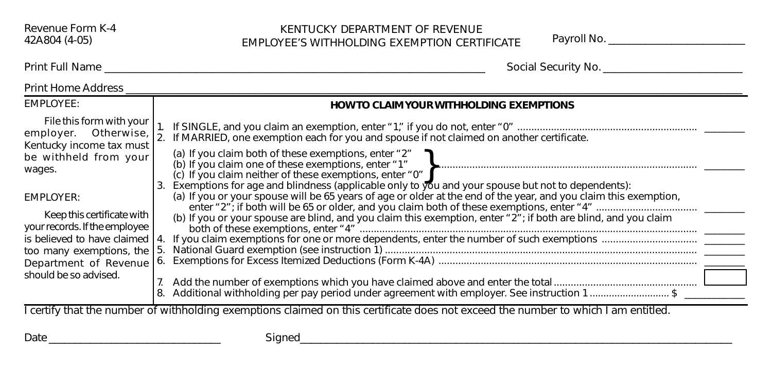## KENTUCKY DEPARTMENT OF REVENUE EMPLOYEE'S WITHHOLDING EXEMPTION CERTIFICATE Payroll No. \_\_\_\_\_\_\_\_\_\_\_\_\_\_\_\_\_\_\_\_\_\_\_\_\_\_

Print Full Name \_\_\_\_\_\_\_\_\_\_\_\_\_\_\_\_\_\_\_\_\_\_\_\_\_\_\_\_\_\_\_\_\_\_\_\_\_\_\_\_\_\_\_\_\_\_\_\_\_\_\_\_\_\_\_\_\_\_\_\_\_\_\_\_\_\_\_\_\_\_\_ Social Security No. \_\_\_\_\_\_\_\_\_\_\_\_\_\_\_\_\_\_\_\_\_\_\_\_\_\_

| <b>Print Home Address</b>                                                                                                          |                                                                                                                                                                                                                                                                                                                                              |
|------------------------------------------------------------------------------------------------------------------------------------|----------------------------------------------------------------------------------------------------------------------------------------------------------------------------------------------------------------------------------------------------------------------------------------------------------------------------------------------|
| EMPLOYEE:                                                                                                                          | <b>HOW TO CLAIM YOUR WITHHOLDING EXEMPTIONS</b>                                                                                                                                                                                                                                                                                              |
| File this form with your<br>employer. Otherwise,<br>Kentucky income tax must                                                       | If MARRIED, one exemption each for you and spouse if not claimed on another certificate.                                                                                                                                                                                                                                                     |
| be withheld from your<br>wages.                                                                                                    | (a) If you claim both of these exemptions, enter "2"<br>(c) If you claim neither of these exemptions, enter "0"                                                                                                                                                                                                                              |
| EMPLOYER:<br>Keep this certificate with<br>your records. If the employee<br>is believed to have claimed 14.                        | Exemptions for age and blindness (applicable only to you and your spouse but not to dependents):<br>3.<br>(a) If you or your spouse will be 65 years of age or older at the end of the year, and you claim this exemption,<br>(b) If you or your spouse are blind, and you claim this exemption, enter "2"; if both are blind, and you claim |
| too many exemptions, the<br>Department of Revenue                                                                                  | National Guard exemption (see instruction 1) Materian Communication and Cuard exemption (see instruction 1)<br>15<br>6.                                                                                                                                                                                                                      |
| should be so advised.                                                                                                              | 7.<br>Additional withholding per pay period under agreement with employer. See instruction 1\$                                                                                                                                                                                                                                               |
| I certify that the number of withholding exemptions claimed on this certificate does not exceed the number to which I am entitled. |                                                                                                                                                                                                                                                                                                                                              |